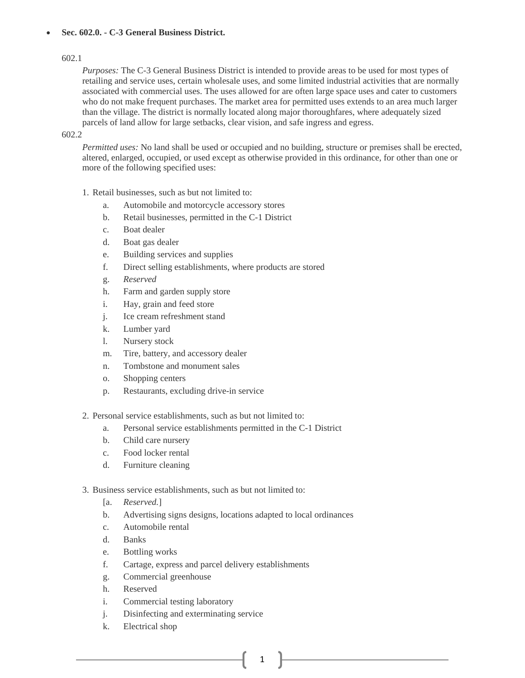# • **Sec. 602.0. - C-3 General Business District.**

# 602.1

*Purposes:* The C-3 General Business District is intended to provide areas to be used for most types of retailing and service uses, certain wholesale uses, and some limited industrial activities that are normally associated with commercial uses. The uses allowed for are often large space uses and cater to customers who do not make frequent purchases. The market area for permitted uses extends to an area much larger than the village. The district is normally located along major thoroughfares, where adequately sized parcels of land allow for large setbacks, clear vision, and safe ingress and egress.

# 602.2

*Permitted uses:* No land shall be used or occupied and no building, structure or premises shall be erected, altered, enlarged, occupied, or used except as otherwise provided in this ordinance, for other than one or more of the following specified uses:

- 1. Retail businesses, such as but not limited to:
	- a. Automobile and motorcycle accessory stores
	- b. Retail businesses, permitted in the C-1 District
	- c. Boat dealer
	- d. Boat gas dealer
	- e. Building services and supplies
	- f. Direct selling establishments, where products are stored
	- g. *Reserved*
	- h. Farm and garden supply store
	- i. Hay, grain and feed store
	- j. Ice cream refreshment stand
	- k. Lumber yard
	- l. Nursery stock
	- m. Tire, battery, and accessory dealer
	- n. Tombstone and monument sales
	- o. Shopping centers
	- p. Restaurants, excluding drive-in service
- 2. Personal service establishments, such as but not limited to:
	- a. Personal service establishments permitted in the C-1 District
	- b. Child care nursery
	- c. Food locker rental
	- d. Furniture cleaning
- 3. Business service establishments, such as but not limited to:
	- [a. *Reserved.*]
	- b. Advertising signs designs, locations adapted to local ordinances

1

- c. Automobile rental
- d. Banks
- e. Bottling works
- f. Cartage, express and parcel delivery establishments
- g. Commercial greenhouse
- h. Reserved
- i. Commercial testing laboratory
- j. Disinfecting and exterminating service
- k. Electrical shop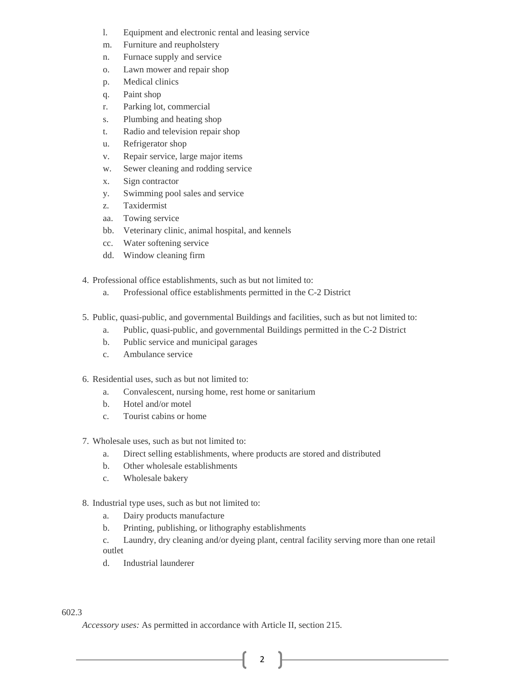- l. Equipment and electronic rental and leasing service
- m. Furniture and reupholstery
- n. Furnace supply and service
- o. Lawn mower and repair shop
- p. Medical clinics
- q. Paint shop
- r. Parking lot, commercial
- s. Plumbing and heating shop
- t. Radio and television repair shop
- u. Refrigerator shop
- v. Repair service, large major items
- w. Sewer cleaning and rodding service
- x. Sign contractor
- y. Swimming pool sales and service
- z. Taxidermist
- aa. Towing service
- bb. Veterinary clinic, animal hospital, and kennels
- cc. Water softening service
- dd. Window cleaning firm
- 4. Professional office establishments, such as but not limited to:
	- a. Professional office establishments permitted in the C-2 District
- 5. Public, quasi-public, and governmental Buildings and facilities, such as but not limited to:
	- a. Public, quasi-public, and governmental Buildings permitted in the C-2 District
	- b. Public service and municipal garages
	- c. Ambulance service
- 6. Residential uses, such as but not limited to:
	- a. Convalescent, nursing home, rest home or sanitarium
	- b. Hotel and/or motel
	- c. Tourist cabins or home
- 7. Wholesale uses, such as but not limited to:
	- a. Direct selling establishments, where products are stored and distributed
	- b. Other wholesale establishments
	- c. Wholesale bakery
- 8. Industrial type uses, such as but not limited to:
	- a. Dairy products manufacture
	- b. Printing, publishing, or lithography establishments
	- c. Laundry, dry cleaning and/or dyeing plant, central facility serving more than one retail outlet

2

d. Industrial launderer

# 602.3

*Accessory uses:* As permitted in accordance with Article II, section 215.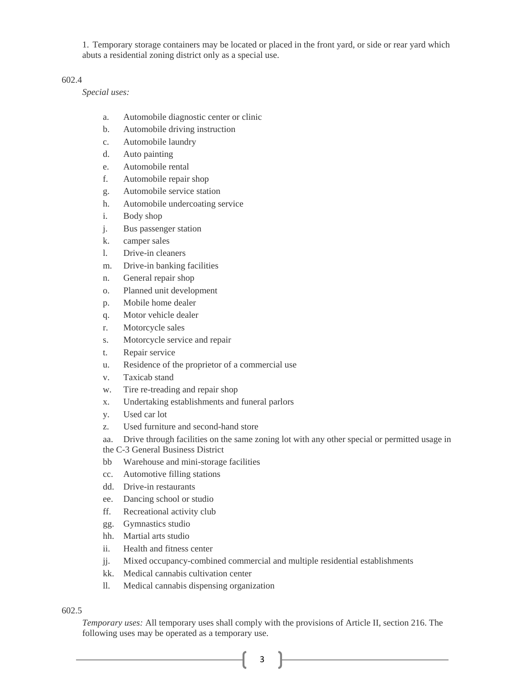1. Temporary storage containers may be located or placed in the front yard, or side or rear yard which abuts a residential zoning district only as a special use.

## 602.4

*Special uses:*

- a. Automobile diagnostic center or clinic
- b. Automobile driving instruction
- c. Automobile laundry
- d. Auto painting
- e. Automobile rental
- f. Automobile repair shop
- g. Automobile service station
- h. Automobile undercoating service
- i. Body shop
- j. Bus passenger station
- k. camper sales
- l. Drive-in cleaners
- m. Drive-in banking facilities
- n. General repair shop
- o. Planned unit development
- p. Mobile home dealer
- q. Motor vehicle dealer
- r. Motorcycle sales
- s. Motorcycle service and repair
- t. Repair service
- u. Residence of the proprietor of a commercial use
- v. Taxicab stand
- w. Tire re-treading and repair shop
- x. Undertaking establishments and funeral parlors
- y. Used car lot
- z. Used furniture and second-hand store
- aa. Drive through facilities on the same zoning lot with any other special or permitted usage in
- the C-3 General Business District
- bb Warehouse and mini-storage facilities
- cc. Automotive filling stations
- dd. Drive-in restaurants
- ee. Dancing school or studio
- ff. Recreational activity club
- gg. Gymnastics studio
- hh. Martial arts studio
- ii. Health and fitness center
- jj. Mixed occupancy-combined commercial and multiple residential establishments
- kk. Medical cannabis cultivation center
- ll. Medical cannabis dispensing organization

602.5

*Temporary uses:* All temporary uses shall comply with the provisions of Article II, section 216. The following uses may be operated as a temporary use.

3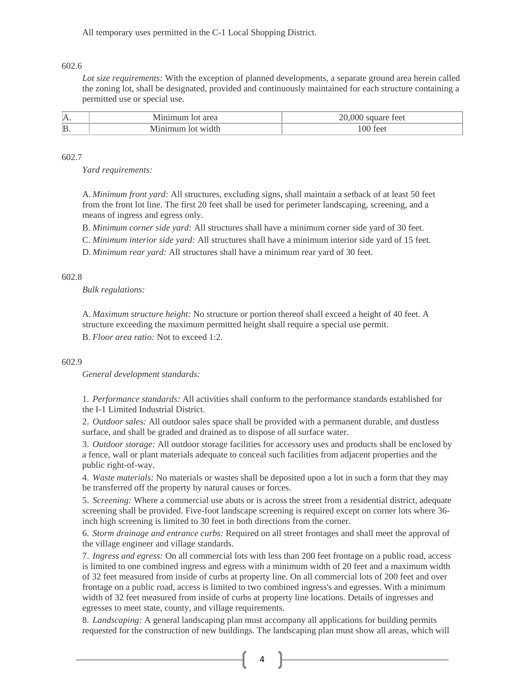All temporary uses permitted in the C-1 Local Shopping District.

### 602.6

*Lot size requirements:* With the exception of planned developments, a separate ground area herein called the zoning lot, shall be designated, provided and continuously maintained for each structure containing a permitted use or special use.

| А.             | .               |                      |
|----------------|-----------------|----------------------|
| $\mathbf{B}$ . | $\frac{1}{100}$ | $\Delta \Delta$<br>. |

#### 602.7

*Yard requirements:*

A. *Minimum front yard:* All structures, excluding signs, shall maintain a setback of at least 50 feet from the front lot line. The first 20 feet shall be used for perimeter landscaping, screening, and a means of ingress and egress only.

B. *Minimum corner side yard:* All structures shall have a minimum corner side yard of 30 feet.

C. *Minimum interior side yard:* All structures shall have a minimum interior side yard of 15 feet.

D. *Minimum rear yard:* All structures shall have a minimum rear yard of 30 feet.

### 602.8

*Bulk regulations:*

A. *Maximum structure height:* No structure or portion thereof shall exceed a height of 40 feet. A structure exceeding the maximum permitted height shall require a special use permit.

B. *Floor area ratio:* Not to exceed 1:2.

#### 602.9

*General development standards:*

1. *Performance standards:* All activities shall conform to the performance standards established for the I-1 Limited Industrial District.

2. *Outdoor sales:* All outdoor sales space shall be provided with a permanent durable, and dustless surface, and shall be graded and drained as to dispose of all surface water.

3. *Outdoor storage:* All outdoor storage facilities for accessory uses and products shall be enclosed by a fence, wall or plant materials adequate to conceal such facilities from adjacent properties and the public right-of-way.

4. *Waste materials:* No materials or wastes shall be deposited upon a lot in such a form that they may be transferred off the property by natural causes or forces.

5. *Screening:* Where a commercial use abuts or is across the street from a residential district, adequate screening shall be provided. Five-foot landscape screening is required except on corner lots where 36 inch high screening is limited to 30 feet in both directions from the corner.

6. *Storm drainage and entrance curbs:* Required on all street frontages and shall meet the approval of the village engineer and village standards.

7. *Ingress and egress:* On all commercial lots with less than 200 feet frontage on a public road, access is limited to one combined ingress and egress with a minimum width of 20 feet and a maximum width of 32 feet measured from inside of curbs at property line. On all commercial lots of 200 feet and over frontage on a public road, access is limited to two combined ingress's and egresses. With a minimum width of 32 feet measured from inside of curbs at property line locations. Details of ingresses and egresses to meet state, county, and village requirements.

8. *Landscaping:* A general landscaping plan must accompany all applications for building permits requested for the construction of new buildings. The landscaping plan must show all areas, which will

 $4$